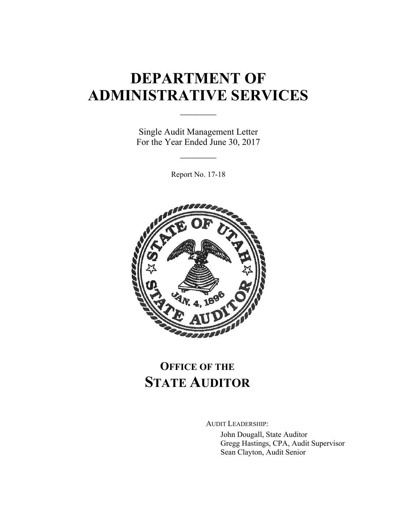# **DEPARTMENT OF ADMINISTRATIVE SERVICES**

 $\mathcal{L}_\text{max}$ 

Single Audit Management Letter For the Year Ended June 30, 2017

 $\frac{1}{2}$ 

Report No. 17-18



### **OFFICE OF THE STATE AUDITOR**

AUDIT LEADERSHIP:

John Dougall, State Auditor Gregg Hastings, CPA, Audit Supervisor Sean Clayton, Audit Senior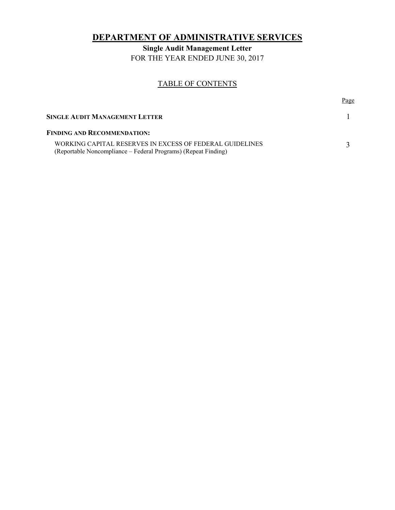### **DEPARTMENT OF ADMINISTRATIVE SERVICES**

**Single Audit Management Letter**  FOR THE YEAR ENDED JUNE 30, 2017

#### TABLE OF CONTENTS

|                                                                                                                            | Page |
|----------------------------------------------------------------------------------------------------------------------------|------|
| <b>SINGLE AUDIT MANAGEMENT LETTER</b>                                                                                      |      |
| <b>FINDING AND RECOMMENDATION:</b>                                                                                         |      |
| WORKING CAPITAL RESERVES IN EXCESS OF FEDERAL GUIDELINES<br>(Reportable Noncompliance – Federal Programs) (Repeat Finding) |      |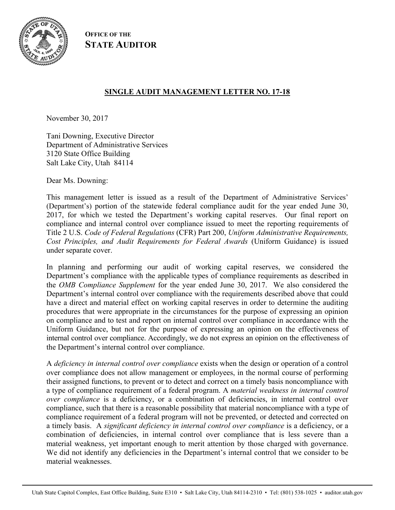

**OFFICE OF THE STATE AUDITOR**

#### **SINGLE AUDIT MANAGEMENT LETTER NO. 17-18**

November 30, 2017

Tani Downing, Executive Director Department of Administrative Services 3120 State Office Building Salt Lake City, Utah 84114

Dear Ms. Downing:

This management letter is issued as a result of the Department of Administrative Services' (Department's) portion of the statewide federal compliance audit for the year ended June 30, 2017, for which we tested the Department's working capital reserves. Our final report on compliance and internal control over compliance issued to meet the reporting requirements of Title 2 U.S. *Code of Federal Regulations* (CFR) Part 200, *Uniform Administrative Requirements, Cost Principles, and Audit Requirements for Federal Awards* (Uniform Guidance) is issued under separate cover.

In planning and performing our audit of working capital reserves, we considered the Department's compliance with the applicable types of compliance requirements as described in the *OMB Compliance Supplement* for the year ended June 30, 2017. We also considered the Department's internal control over compliance with the requirements described above that could have a direct and material effect on working capital reserves in order to determine the auditing procedures that were appropriate in the circumstances for the purpose of expressing an opinion on compliance and to test and report on internal control over compliance in accordance with the Uniform Guidance, but not for the purpose of expressing an opinion on the effectiveness of internal control over compliance. Accordingly, we do not express an opinion on the effectiveness of the Department's internal control over compliance.

A *deficiency in internal control over compliance* exists when the design or operation of a control over compliance does not allow management or employees, in the normal course of performing their assigned functions, to prevent or to detect and correct on a timely basis noncompliance with a type of compliance requirement of a federal program. A *material weakness in internal control over compliance* is a deficiency, or a combination of deficiencies, in internal control over compliance, such that there is a reasonable possibility that material noncompliance with a type of compliance requirement of a federal program will not be prevented, or detected and corrected on a timely basis. A *significant deficiency in internal control over compliance* is a deficiency, or a combination of deficiencies, in internal control over compliance that is less severe than a material weakness, yet important enough to merit attention by those charged with governance. We did not identify any deficiencies in the Department's internal control that we consider to be material weaknesses.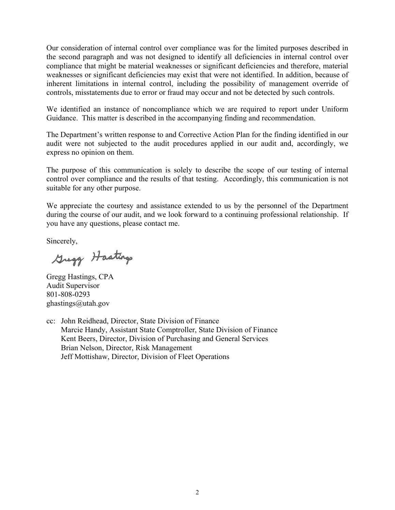Our consideration of internal control over compliance was for the limited purposes described in the second paragraph and was not designed to identify all deficiencies in internal control over compliance that might be material weaknesses or significant deficiencies and therefore, material weaknesses or significant deficiencies may exist that were not identified. In addition, because of inherent limitations in internal control, including the possibility of management override of controls, misstatements due to error or fraud may occur and not be detected by such controls.

We identified an instance of noncompliance which we are required to report under Uniform Guidance. This matter is described in the accompanying finding and recommendation.

The Department's written response to and Corrective Action Plan for the finding identified in our audit were not subjected to the audit procedures applied in our audit and, accordingly, we express no opinion on them.

The purpose of this communication is solely to describe the scope of our testing of internal control over compliance and the results of that testing. Accordingly, this communication is not suitable for any other purpose.

We appreciate the courtesy and assistance extended to us by the personnel of the Department during the course of our audit, and we look forward to a continuing professional relationship. If you have any questions, please contact me.

Sincerely,

Gregg Hastings

Gregg Hastings, CPA Audit Supervisor 801-808-0293 ghastings@utah.gov

cc: John Reidhead, Director, State Division of Finance Marcie Handy, Assistant State Comptroller, State Division of Finance Kent Beers, Director, Division of Purchasing and General Services Brian Nelson, Director, Risk Management Jeff Mottishaw, Director, Division of Fleet Operations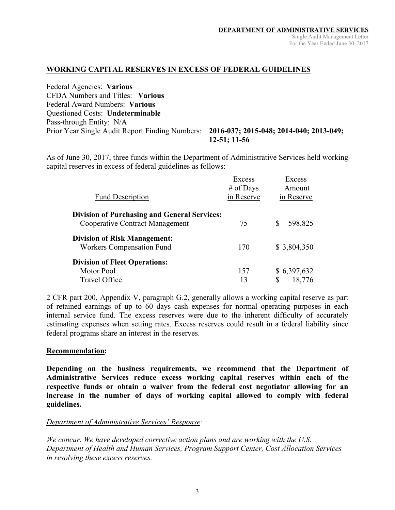#### **WORKING CAPITAL RESERVES IN EXCESS OF FEDERAL GUIDELINES**

Federal Agencies: **Various**  CFDA Numbers and Titles: **Various**  Federal Award Numbers: **Various**  Questioned Costs: **Undeterminable** Pass-through Entity: N/A Prior Year Single Audit Report Finding Numbers: **2016-037; 2015-048; 2014-040; 2013-049;** 

# **12-51; 11-56**

As of June 30, 2017, three funds within the Department of Administrative Services held working capital reserves in excess of federal guidelines as follows:

| <b>Fund Description</b>                                                                       | Excess<br># of Days<br>in Reserve | Excess<br>Amount<br>in Reserve |
|-----------------------------------------------------------------------------------------------|-----------------------------------|--------------------------------|
| <b>Division of Purchasing and General Services:</b><br><b>Cooperative Contract Management</b> | 75                                | 598,825<br>S                   |
| <b>Division of Risk Management:</b><br><b>Workers Compensation Fund</b>                       | 170                               | \$3,804,350                    |
| <b>Division of Fleet Operations:</b><br>Motor Pool<br><b>Travel Office</b>                    | 157<br>13                         | \$6,397,632<br>18,776<br>\$    |

2 CFR part 200, Appendix V, paragraph G.2, generally allows a working capital reserve as part of retained earnings of up to 60 days cash expenses for normal operating purposes in each internal service fund. The excess reserves were due to the inherent difficulty of accurately estimating expenses when setting rates. Excess reserves could result in a federal liability since federal programs share an interest in the reserves.

#### **Recommendation:**

**Depending on the business requirements, we recommend that the Department of Administrative Services reduce excess working capital reserves within each of the respective funds or obtain a waiver from the federal cost negotiator allowing for an increase in the number of days of working capital allowed to comply with federal guidelines.** 

#### *Department of Administrative Services' Response:*

*We concur. We have developed corrective action plans and are working with the U.S. Department of Health and Human Services, Program Support Center, Cost Allocation Services in resolving these excess reserves.*